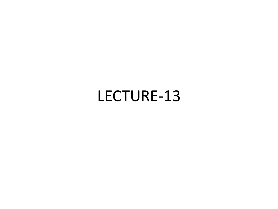#### LECTURE-13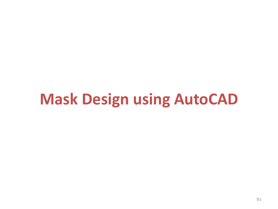#### **Mask Design using AutoCAD**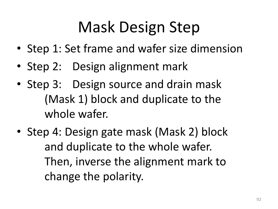# Mask Design Step

- Step 1: Set frame and wafer size dimension
- Step 2: Design alignment mark
- Step 3: Design source and drain mask (Mask 1) block and duplicate to the whole wafer.
- Step 4: Design gate mask (Mask 2) block and duplicate to the whole wafer. Then, inverse the alignment mark to change the polarity.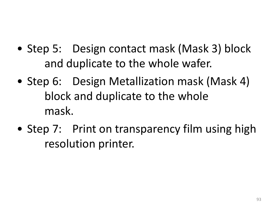- Step 5: Design contact mask (Mask 3) block and duplicate to the whole wafer.
- Step 6: Design Metallization mask (Mask 4) block and duplicate to the whole mask.
- Step 7: Print on transparency film using high resolution printer.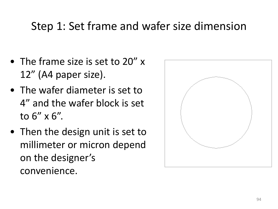#### Step 1: Set frame and wafer size dimension

- The frame size is set to 20" x 12" (A4 paper size).
- The wafer diameter is set to 4" and the wafer block is set to 6" x 6".
- Then the design unit is set to millimeter or micron depend on the designer's convenience.

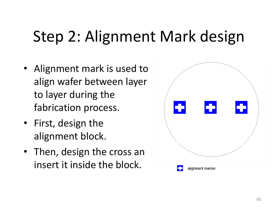# Step 2: Alignment Mark design

- Alignment mark is used to align wafer between layer to layer during the fabrication process.
- First, design the alignment block.
- Then, design the cross an insert it inside the block.

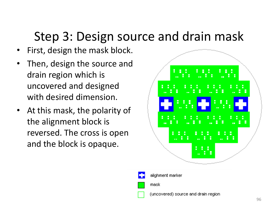#### Step 3: Design source and drain mask

- First, design the mask block.
- Then, design the source and drain region which is uncovered and designed with desired dimension.
- At this mask, the polarity of the alignment block is reversed. The cross is open and the block is opaque.





(uncovered) source and drain region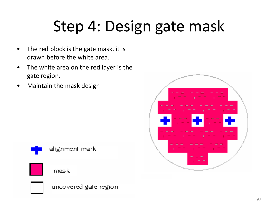# Step 4: Design gate mask

- The red block is the gate mask, it is drawn before the white area.
- The white area on the red layer is the gate region.
- Maintain the mask design



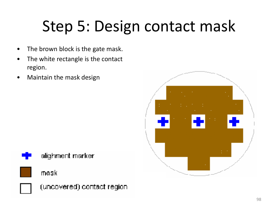# Step 5: Design contact mask

- The brown block is the gate mask.
- The white rectangle is the contact region.
- Maintain the mask design











(uncovered) contact region